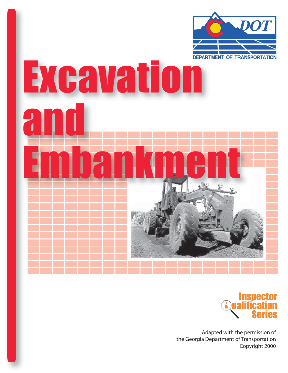

# **EXCAVACION** and Embankment



Adapted with the permission of the Georgia Department of Transportation Copyright 2000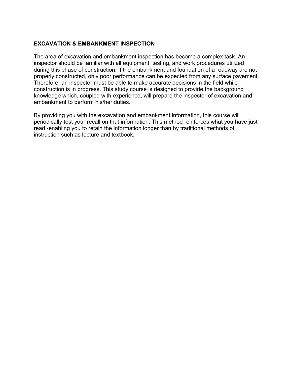# **EXCAVATION & EMBANKMENT INSPECTION**

The area of excavation and embankment inspection has become a complex task. An inspector should be familiar with all equipment, testing, and work procedures utilized during this phase of construction. If the embankment and foundation of a roadway are not properly constructed, only poor performance can be expected from any surface pavement. Therefore, an inspector must be able to make accurate decisions in the field while construction is in progress. This study course is designed to provide the background knowledge which, coupled with experience, will prepare the inspector of excavation and embankment to perform his/her duties.

By providing you with the excavation and embankment information, this course will periodically test your recall on that information. This method reinforces what you have just read -enabling you to retain the information longer than by traditional methods of instruction such as lecture and textbook.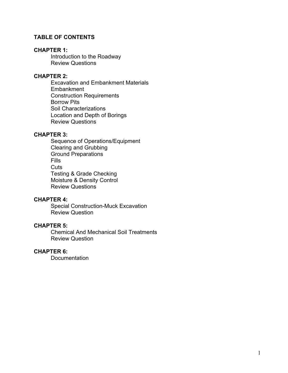# **TABLE OF CONTENTS**

### **CHAPTER 1:**

Introduction to the Roadway Review Questions

# **CHAPTER 2:**

Excavation and Embankment Materials **Embankment** Construction Requirements Borrow Pits Soil Characterizations Location and Depth of Borings Review Questions

### **CHAPTER 3:**

Sequence of Operations/Equipment Clearing and Grubbing Ground Preparations Fills **Cuts** Testing & Grade Checking Moisture & Density Control Review Questions

### **CHAPTER 4:**

Special Construction-Muck Excavation Review Question

### **CHAPTER 5:**

Chemical And Mechanical Soil Treatments Review Question

### **CHAPTER 6:**

**Documentation**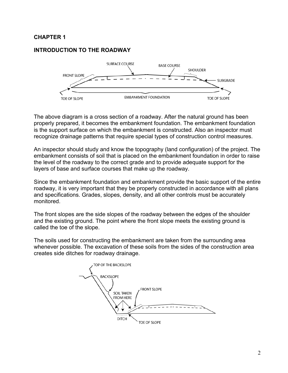# **CHAPTER 1**

# **INTRODUCTION TO THE ROADWAY**



The above diagram is a cross section of a roadway. After the natural ground has been properly prepared, it becomes the embankment foundation. The embankment foundation is the support surface on which the embankment is constructed. Also an inspector must recognize drainage patterns that require special types of construction control measures.

An inspector should study and know the topography (land configuration) of the project. The embankment consists of soil that is placed on the embankment foundation in order to raise the level of the roadway to the correct grade and to provide adequate support for the layers of base and surface courses that make up the roadway.

Since the embankment foundation and embankment provide the basic support of the entire roadway, it is very important that they be properly constructed in accordance with all plans and specifications. Grades, slopes, density, and all other controls must be accurately monitored.

The front slopes are the side slopes of the roadway between the edges of the shoulder and the existing ground. The point where the front slope meets the existing ground is called the toe of the slope.

The soils used for constructing the embankment are taken from the surrounding area whenever possible. The excavation of these soils from the sides of the construction area creates side ditches for roadway drainage.

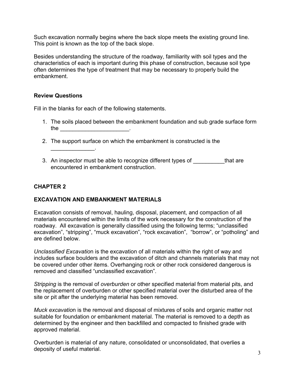Such excavation normally begins where the back slope meets the existing ground line. This point is known as the top of the back slope.

Besides understanding the structure of the roadway, familiarity with soil types and the characteristics of each is important during this phase of construction, because soil type often determines the type of treatment that may be necessary to properly build the embankment.

### **Review Questions**

 $\mathcal{L}_\text{max}$  and  $\mathcal{L}_\text{max}$ 

Fill in the blanks for each of the following statements.

- 1. The soils placed between the embankment foundation and sub grade surface form the  $\qquad \qquad \qquad$
- 2. The support surface on which the embankment is constructed is the
- 3. An inspector must be able to recognize different types of that are encountered in embankment construction.

# **CHAPTER 2**

# **EXCAVATION AND EMBANKMENT MATERIALS**

Excavation consists of removal, hauling, disposal, placement, and compaction of all materials encountered within the limits of the work necessary for the construction of the roadway. All excavation is generally classified using the following terms; "unclassified excavation", "stripping", "muck excavation", "rock excavation", "borrow", or "potholing" and are defined below.

*Unclassified Excavatio*n is the excavation of all materials within the right of way and includes surface boulders and the excavation of ditch and channels materials that may not be covered under other items. Overhanging rock or other rock considered dangerous is removed and classified "unclassified excavation".

*Stripping* is the removal of *overburden* or other specified material from material pits, and the replacement of overburden or other specified material over the disturbed area of the site or pit after the underlying material has been removed.

*Muck excavatio*n is the removal and disposal of mixtures of soils and organic matter not suitable for foundation or embankment material. The material is removed to a depth as determined by the engineer and then backfilled and compacted to finished grade with approved material.

Overburden is material of any nature, consolidated or unconsolidated, that overlies a deposity of useful material.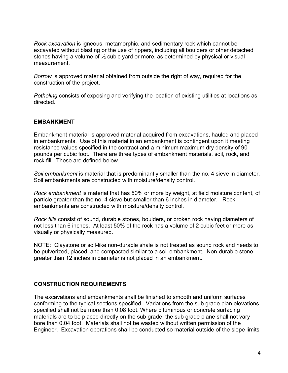*Rock excavation* is igneous, metamorphic, and sedimentary rock which cannot be excavated without blasting or the use of rippers, including all boulders or other detached stones having a volume of ½ cubic yard or more, as determined by physical or visual measurement.

*Borrow* is approved material obtained from outside the right of way, required for the construction of the project.

*Potholing* consists of exposing and verifying the location of existing utilities at locations as directed.

# **EMBANKMENT**

Embankment material is approved material acquired from excavations, hauled and placed in embankments. Use of this material in an embankment is contingent upon it meeting resistance values specified in the contract and a minimum maximum dry density of 90 pounds per cubic foot. There are three types of embankment materials, soil, rock, and rock fill. These are defined below.

*Soil embankment* is material that is predominantly smaller than the no. 4 sieve in diameter. Soil embankments are constructed with moisture/density control.

*Rock embankment* is material that has 50% or more by weight, at field moisture content, of particle greater than the no. 4 sieve but smaller than 6 inches in diameter. Rock embankments are constructed with moisture/density control.

*Rock fills* consist of sound, durable stones, boulders, or broken rock having diameters of not less than 6 inches. At least 50% of the rock has a volume of 2 cubic feet or more as visually or physically measured.

NOTE: Claystone or soil-like non-durable shale is not treated as sound rock and needs to be pulverized, placed, and compacted similar to a soil embankment. Non-durable stone greater than 12 inches in diameter is not placed in an embankment.

### **CONSTRUCTION REQUIREMENTS**

The excavations and embankments shall be finished to smooth and uniform surfaces conforming to the typical sections specified. Variations from the sub grade plan elevations specified shall not be more than 0.08 foot. Where bituminous or concrete surfacing materials are to be placed directly on the sub grade, the sub grade plane shall not vary bore than 0.04 foot. Materials shall not be wasted without written permission of the Engineer. Excavation operations shall be conducted so material outside of the slope limits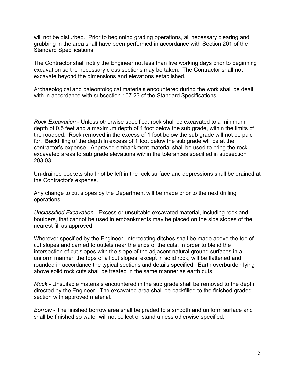will not be disturbed. Prior to beginning grading operations, all necessary clearing and grubbing in the area shall have been performed in accordance with Section 201 of the Standard Specifications.

The Contractor shall notify the Engineer not less than five working days prior to beginning excavation so the necessary cross sections may be taken. The Contractor shall not excavate beyond the dimensions and elevations established.

Archaeological and paleontological materials encountered during the work shall be dealt with in accordance with subsection 107.23 of the Standard Specifications.

*Rock Excavation* - Unless otherwise specified, rock shall be excavated to a minimum depth of 0.5 feet and a maximum depth of 1 foot below the sub grade, within the limits of the roadbed. Rock removed in the excess of 1 foot below the sub grade will not be paid for. Backfilling of the depth in excess of 1 foot below the sub grade will be at the contractor's expense. Approved embankment material shall be used to bring the rockexcavated areas to sub grade elevations within the tolerances specified in subsection 203.03

Un-drained pockets shall not be left in the rock surface and depressions shall be drained at the Contractor's expense.

Any change to cut slopes by the Department will be made prior to the next drilling operations.

*Unclassified Excavation -* Excess or unsuitable excavated material, including rock and boulders, that cannot be used in embankments may be placed on the side slopes of the nearest fill as approved.

Wherever specified by the Engineer, intercepting ditches shall be made above the top of cut slopes and carried to outlets near the ends of the cuts. In order to blend the intersection of cut slopes with the slope of the adjacent natural ground surfaces in a uniform manner, the tops of all cut slopes, except in solid rock, will be flattened and rounded in accordance the typical sections and details specified. Earth overburden lying above solid rock cuts shall be treated in the same manner as earth cuts.

*Muck -* Unsuitable materials encountered in the sub grade shall be removed to the depth directed by the Engineer. The excavated area shall be backfilled to the finished graded section with approved material.

*Borrow -* The finished borrow area shall be graded to a smooth and uniform surface and shall be finished so water will not collect or stand unless otherwise specified.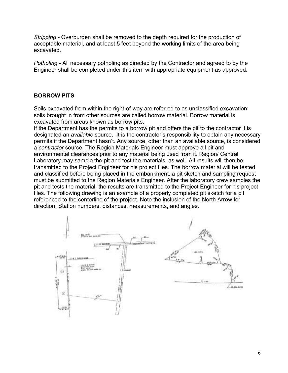*Stripping -* Overburden shall be removed to the depth required for the production of acceptable material, and at least 5 feet beyond the working limits of the area being excavated.

*Potholing -* All necessary potholing as directed by the Contractor and agreed to by the Engineer shall be completed under this item with appropriate equipment as approved.

# **BORROW PITS**

Soils excavated from within the right-of-way are referred to as unclassified excavation; soils brought in from other sources are called borrow material. Borrow material is excavated from areas known as borrow pits.

If the Department has the permits to a borrow pit and offers the pit to the contractor it is designated an *available* source. It is the contractor's responsibility to obtain any necessary permits if the Department hasn't. Any source, other than an available source, is considered a *contractor* source. The Region Materials Engineer must approve all pit and environmental clearances prior to any material being used from it. Region/ Central Laboratory may sample the pit and test the materials, as well. All results will then be transmitted to the Project Engineer for his project files. The borrow material will be tested and classified before being placed in the embankment, a pit sketch and sampling request must be submitted to the Region Materials Engineer. After the laboratory crew samples the pit and tests the material, the results are transmitted to the Project Engineer for his project files. The following drawing is an example of a properly completed pit sketch for a pit referenced to the centerline of the project. Note the inclusion of the North Arrow for direction, Station numbers, distances, measurements, and angles.

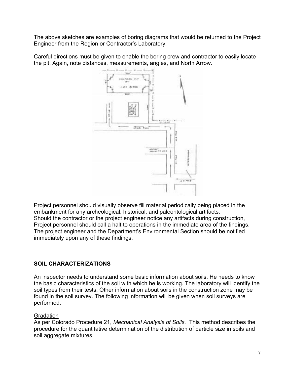The above sketches are examples of boring diagrams that would be returned to the Project Engineer from the Region or Contractor's Laboratory.

Careful directions must be given to enable the boring crew and contractor to easily locate the pit. Again, note distances, measurements, angles, and North Arrow.



Project personnel should visually observe fill material periodically being placed in the embankment for any archeological, historical, and paleontological artifacts. Should the contractor or the project engineer notice any artifacts during construction, Project personnel should call a halt to operations in the immediate area of the findings. The project engineer and the Department's Environmental Section should be notified immediately upon any of these findings.

# **SOIL CHARACTERIZATIONS**

An inspector needs to understand some basic information about soils. He needs to know the basic characteristics of the soil with which he is working. The laboratory will identify the soil types from their tests. Other information about soils in the construction zone may be found in the soil survey. The following information will be given when soil surveys are performed.

# **Gradation**

As per Colorado Procedure 21, *Mechanical Analysis of Soils*. This method describes the procedure for the quantitative determination of the distribution of particle size in soils and soil aggregate mixtures.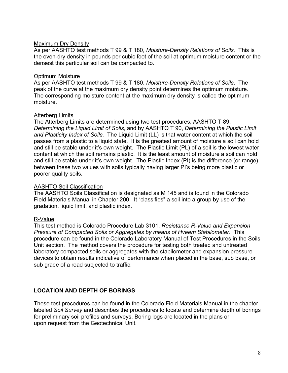### Maximum Dry Density

As per AASHTO test methods T 99 & T 180, *Moisture-Density Relations of Soils.* This is the oven-dry density in pounds per cubic foot of the soil at optimum moisture content or the densest this particular soil can be compacted to.

### Optimum Moisture

As per AASHTO test methods T 99 & T 180, *Moisture-Density Relations of Soils*. The peak of the curve at the maximum dry density point determines the optimum moisture. The corresponding moisture content at the maximum dry density is called the optimum moisture.

### Atterberg Limits

The Atterberg Limits are determined using two test procedures, AASHTO T 89, *Determining the Liquid Limit of Soils,* and by AASHTO T 90, *Determining the Plastic Limit and Plasticity Index of Soils.* The Liquid Limit (LL) is that water content at which the soil passes from a plastic to a liquid state. It is the greatest amount of moisture a soil can hold and still be stable under it's own weight. The Plastic Limit (PL) of a soil is the lowest water content at which the soil remains plastic. It is the least amount of moisture a soil can hold and still be stable under it's own weight. The Plastic Index (PI) is the difference (or range) between these two values with soils typically having larger PI's being more plastic or poorer quality soils.

### AASHTO Soil Classification

The AASHTO Soils Classification is designated as M 145 and is found in the Colorado Field Materials Manual in Chapter 200. It "classifies" a soil into a group by use of the gradation, liquid limit, and plastic index.

# R-Value

This test method is Colorado Procedure Lab 3101, *Resistance R-Value and Expansion Pressure of Compacted Soils or Aggregates by means of Hveem Stabilometer.* This procedure can be found in the Colorado Laboratory Manual of Test Procedures in the Soils Unit section. The method covers the procedure for testing both treated and untreated laboratory compacted soils or aggregates with the stabilometer and expansion pressure devices to obtain results indicative of performance when placed in the base, sub base, or sub grade of a road subjected to traffic.

# **LOCATION AND DEPTH OF BORINGS**

These test procedures can be found in the Colorado Field Materials Manual in the chapter labeled *Soil Survey* and describes the procedures to locate and determine depth of borings for preliminary soil profiles and surveys. Boring logs are located in the plans or upon request from the Geotechnical Unit.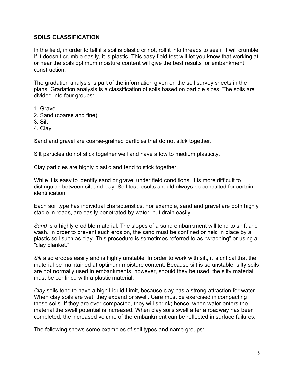### **SOILS CLASSIFICATION**

In the field, in order to tell if a soil is plastic or not, roll it into threads to see if it will crumble. If it doesn't crumble easily, it is plastic. This easy field test will let you know that working at or near the soils optimum moisture content will give the best results for embankment construction.

The gradation analysis is part of the information given on the soil survey sheets in the plans. Gradation analysis is a classification of soils based on particle sizes. The soils are divided into four groups:

- 1. Gravel
- 2. Sand (coarse and fine)
- 3. Silt
- 4. Clay

Sand and gravel are coarse-grained particles that do not stick together.

Silt particles do not stick together well and have a low to medium plasticity.

Clay particles are highly plastic and tend to stick together.

While it is easy to identify sand or gravel under field conditions, it is more difficult to distinguish between silt and clay. Soil test results should always be consulted for certain identification.

Each soil type has individual characteristics. For example, sand and gravel are both highly stable in roads, are easily penetrated by water, but drain easily.

*Sand* is a highly erodible material. The slopes of a sand embankment will tend to shift and wash. In order to prevent such erosion, the sand must be confined or held in place by a plastic soil such as clay. This procedure is sometimes referred to as "wrapping" or using a "clay blanket."

*Silt* also erodes easily and is highly unstable. In order to work with silt, it is critical that the material be maintained at optimum moisture content. Because silt is so unstable, silty soils are not normally used in embankments; however, should they be used, the silty material must be confined with a plastic material.

*Clay* soils tend to have a high Liquid Limit, because clay has a strong attraction for water. When clay soils are wet, they expand or swell. Care must be exercised in compacting these soils. If they are over-compacted, they will shrink; hence, when water enters the material the swell potential is increased. When clay soils swell after a roadway has been completed, the increased volume of the embankment can be reflected in surface failures.

The following shows some examples of soil types and name groups: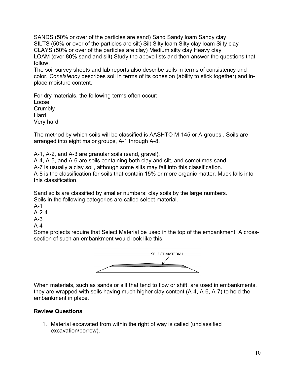SANDS (50% or over of the particles are sand) Sand Sandy loam Sandy clay SILTS (50% or over of the particles are silt) Silt Silty loam Silty clay loam Silty clay CLAYS (50% or over of the particles are clay) Medium silty clay Heavy clay LOAM (over 80% sand and silt) Study the above lists and then answer the questions that follow.

The soil survey sheets and lab reports also describe soils in terms of consistency and color. *Consistency* describes soil in terms of its cohesion (ability to stick together) and inplace moisture content.

For dry materials, the following terms often occur: Loose **Crumbly** Hard Very hard

The method by which soils will be classified is AASHTO M-145 or A-groups . Soils are arranged into eight major groups, A-1 through A-8.

A-1, A-2, and A-3 are granular soils (sand, gravel).

A-4, A-5, and A-6 are soils containing both clay and silt, and sometimes sand.

A-7 is usually a clay soil, although some silts may fall into this classification.

A-8 is the classification for soils that contain 15% or more organic matter. Muck falls into this classification.

Sand soils are classified by smaller numbers; clay soils by the large numbers. Soils in the following categories are called select material.

A-1

A-2-4

A-3

A-4

Some projects require that Select Material be used in the top of the embankment. A crosssection of such an embankment would look like this.



When materials, such as sands or silt that tend to flow or shift, are used in embankments, they are wrapped with soils having much higher clay content (A-4, A-6, A-7) to hold the embankment in place.

# **Review Questions**

1. Material excavated from within the right of way is called (unclassified excavation/borrow).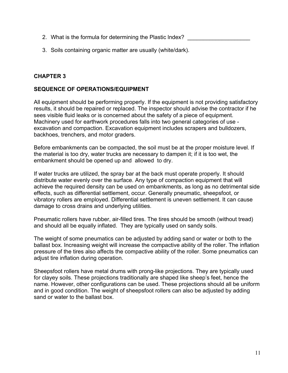- 2. What is the formula for determining the Plastic Index?
- 3. Soils containing organic matter are usually (white/dark).

# **CHAPTER 3**

## **SEQUENCE OF OPERATIONS/EQUIPMENT**

All equipment should be performing properly. If the equipment is not providing satisfactory results, it should be repaired or replaced. The inspector should advise the contractor if he sees visible fluid leaks or is concerned about the safety of a piece of equipment. Machinery used for earthwork procedures falls into two general categories of use excavation and compaction. Excavation equipment includes scrapers and bulldozers, backhoes, trenchers, and motor graders.

Before embankments can be compacted, the soil must be at the proper moisture level. If the material is too dry, water trucks are necessary to dampen it; if it is too wet, the embankment should be opened up and allowed to dry.

If water trucks are utilized, the spray bar at the back must operate properly. It should distribute water evenly over the surface. Any type of compaction equipment that will achieve the required density can be used on embankments, as long as no detrimental side effects, such as differential settlement, occur. Generally pneumatic, sheepsfoot, or vibratory rollers are employed. Differential settlement is uneven settlement. It can cause damage to cross drains and underlying utilities.

Pneumatic rollers have rubber, air-filled tires. The tires should be smooth (without tread) and should all be equally inflated. They are typically used on sandy soils.

The weight of some pneumatics can be adjusted by adding sand or water or both to the ballast box. Increasing weight will increase the compactive ability of the roller. The inflation pressure of the tires also affects the compactive ability of the roller. Some pneumatics can adjust tire inflation during operation.

Sheepsfoot rollers have metal drums with prong-like projections. They are typically used for clayey soils. These projections traditionally are shaped like sheep's feet, hence the name. However, other configurations can be used. These projections should all be uniform and in good condition. The weight of sheepsfoot rollers can also be adjusted by adding sand or water to the ballast box.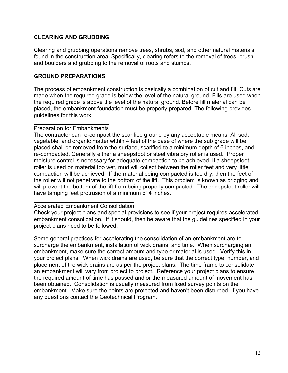## **CLEARING AND GRUBBING**

Clearing and grubbing operations remove trees, shrubs, sod, and other natural materials found in the construction area. Specifically, clearing refers to the removal of trees, brush, and boulders and grubbing to the removal of roots and stumps.

### **GROUND PREPARATIONS**

The process of embankment construction is basically a combination of cut and fill. Cuts are made when the required grade is below the level of the natural ground. Fills are used when the required grade is above the level of the natural ground. Before fill material can be placed, the embankment foundation must be properly prepared. The following provides guidelines for this work.

### Preparation for Embankments

The contractor can re-compact the scarified ground by any acceptable means. All sod, vegetable, and organic matter within 4 feet of the base of where the sub grade will be placed shall be removed from the surface, scarified to a minimum depth of 6 inches, and re-compacted. Generally either a sheepsfoot or steel vibratory roller is used. Proper moisture control is necessary for adequate compaction to be achieved. If a sheepsfoot roller is used on material too wet, mud will collect between the roller feet and very little compaction will be achieved. If the material being compacted is too dry, then the feet of the roller will not penetrate to the bottom of the lift. This problem is known as bridging and will prevent the bottom of the lift from being properly compacted. The sheepsfoot roller will have tamping feet protrusion of a minimum of 4 inches.

### Accelerated Embankment Consolidation

Check your project plans and special provisions to see if your project requires accelerated embankment consolidation. If it should, then be aware that the guidelines specified in your project plans need to be followed.

Some general practices for accelerating the consolidation of an embankment are to surcharge the embankment, installation of wick drains, and time. When surcharging an embankment, make sure the correct amount and type or material is used. Verify this in your project plans. When wick drains are used, be sure that the correct type, number, and placement of the wick drains are as per the project plans. The time frame to consolidate an embankment will vary from project to project. Reference your project plans to ensure the required amount of time has passed and or the measured amount of movement has been obtained. Consolidation is usually measured from fixed survey points on the embankment. Make sure the points are protected and haven't been disturbed. If you have any questions contact the Geotechnical Program.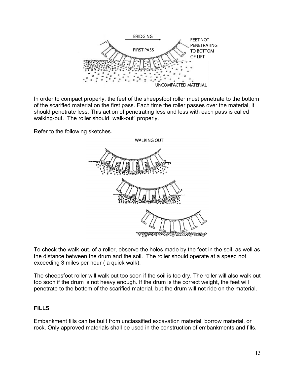

In order to compact properly, the feet of the sheepsfoot roller must penetrate to the bottom of the scarified material on the first pass. Each time the roller passes over the material, it should penetrate less. This action of penetrating less and less with each pass is called walking-out. The roller should "walk-out" properly.

Refer to the following sketches.



To check the walk-out. of a roller, observe the holes made by the feet in the soil, as well as the distance between the drum and the soil. The roller should operate at a speed not exceeding 3 miles per hour ( a quick walk).

The sheepsfoot roller will walk out too soon if the soil is too dry. The roller will also walk out too soon if the drum is not heavy enough. If the drum is the correct weight, the feet will penetrate to the bottom of the scarified material, but the drum will not ride on the material.

# **FILLS**

Embankment fills can be built from unclassified excavation material, borrow material, or rock. Only approved materials shall be used in the construction of embankments and fills.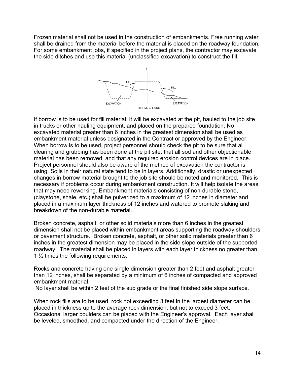Frozen material shall not be used in the construction of embankments. Free running water shall be drained from the material before the material is placed on the roadway foundation. For some embankment jobs, if specified in the project plans, the contractor may excavate the side ditches and use this material (unclassified excavation) to construct the fill.



If borrow is to be used for fill material, it will be excavated at the pit, hauled to the job site in trucks or other hauling equipment, and placed on the prepared foundation. No excavated material greater than 6 inches in the greatest dimension shall be used as embankment material unless designated in the Contract or approved by the Engineer. When borrow is to be used, project personnel should check the pit to be sure that all clearing and grubbing has been done at the pit site, that all sod and other objectionable material has been removed, and that any required erosion control devices are in place. Project personnel should also be aware of the method of excavation the contractor is using. Soils in their natural state tend to be in layers. Additionally, drastic or unexpected changes in borrow material brought to the job site should be noted and monitored. This is necessary if problems occur during embankment construction. It will help isolate the areas that may need reworking. Embankment materials consisting of non-durable stone, (claystone, shale, etc.) shall be pulverized to a maximum of 12 inches in diameter and placed in a maximum layer thickness of 12 inches and watered to promote slaking and breakdown of the non-durable material.

Broken concrete, asphalt, or other solid materials more than 6 inches in the greatest dimension shall not be placed within embankment areas supporting the roadway shoulders or pavement structure. Broken concrete, asphalt, or other solid materials greater than 6 inches in the greatest dimension may be placed in the side slope outside of the supported roadway. The material shall be placed in layers with each layer thickness no greater than 1 ½ times the following requirements.

Rocks and concrete having one single dimension greater than 2 feet and asphalt greater than 12 inches, shall be separated by a minimum of 6 inches of compacted and approved embankment material.

No layer shall be within 2 feet of the sub grade or the final finished side slope surface.

When rock fills are to be used, rock not exceeding 3 feet in the largest diameter can be placed in thickness up to the average rock dimension, but not to exceed 3 feet. Occasional larger boulders can be placed with the Engineer's approval. Each layer shall be leveled, smoothed, and compacted under the direction of the Engineer.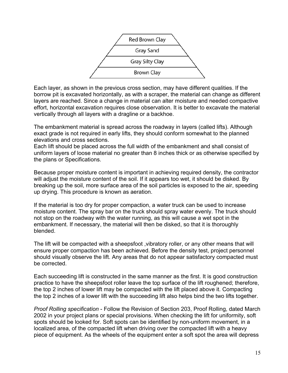

Each layer, as shown in the previous cross section, may have different qualities. If the borrow pit is excavated horizontally, as with a scraper, the material can change as different layers are reached. Since a change in material can alter moisture and needed compactive effort, horizontal excavation requires close observation. It is better to excavate the material vertically through all layers with a dragline or a backhoe.

The embankment material is spread across the roadway in layers (called lifts). Although exact grade is not required in early lifts, they should conform somewhat to the planned elevations and cross sections.

Each lift should be placed across the full width of the embankment and shall consist of uniform layers of loose material no greater than 8 inches thick or as otherwise specified by the plans or Specifications.

Because proper moisture content is important in achieving required density, the contractor will adjust the moisture content of the soil. If it appears too wet, it should be disked. By breaking up the soil, more surface area of the soil particles is exposed to the air, speeding up drying. This procedure is known as aeration.

If the material is too dry for proper compaction, a water truck can be used to increase moisture content. The spray bar on the truck should spray water evenly. The truck should not stop on the roadway with the water running, as this will cause a wet spot in the embankment. If necessary, the material will then be disked, so that it is thoroughly blended.

The lift will be compacted with a sheepsfoot ,vibratory roller, or any other means that will ensure proper compaction has been achieved. Before the density test, project personnel should visually observe the lift. Any areas that do not appear satisfactory compacted must be corrected.

Each succeeding lift is constructed in the same manner as the first. It is good construction practice to have the sheepsfoot roller leave the top surface of the lift roughened; therefore, the top 2 inches of lower lift may be compacted with the lift placed above it. Compacting the top 2 inches of a lower lift with the succeeding lift also helps bind the two lifts together.

*Proof Rolling specification* - Follow the Revision of Section 203, Proof Rolling, dated March 2002 in your project plans or special provisions. When checking the lift for uniformity, soft spots should be looked for. Soft spots can be identified by non-uniform movement, in a localized area, of the compacted lift when driving over the compacted lift with a heavy piece of equipment. As the wheels of the equipment enter a soft spot the area will depress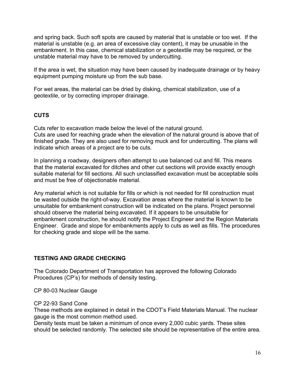and spring back. Such soft spots are caused by material that is unstable or too wet. If the material is unstable (e.g. an area of excessive clay content), it may be unusable in the embankment. In this case, chemical stabilization or a geotextile may be required, or the unstable material may have to be removed by undercutting.

If the area is wet, the situation may have been caused by inadequate drainage or by heavy equipment pumping moisture up from the sub base.

For wet areas, the material can be dried by disking, chemical stabilization, use of a geotextile, or by correcting improper drainage.

### **CUTS**

Cuts refer to excavation made below the level of the natural ground. Cuts are used for reaching grade when the elevation of the natural ground is above that of finished grade. They are also used for removing muck and for undercutting. The plans will indicate which areas of a project are to be cuts.

In planning a roadway, designers often attempt to use balanced cut and fill. This means that the material excavated for ditches and other cut sections will provide exactly enough suitable material for fill sections. All such unclassified excavation must be acceptable soils and must be free of objectionable material.

Any material which is not suitable for fills or which is not needed for fill construction must be wasted outside the right-of-way. Excavation areas where the material is known to be unsuitable for embankment construction will be indicated on the plans. Project personnel should observe the material being excavated. If it appears to be unsuitable for embankment construction, he should notify the Project Engineer and the Region Materials Engineer. Grade and slope for embankments apply to cuts as well as fills. The procedures for checking grade and slope will be the same.

### **TESTING AND GRADE CHECKING**

The Colorado Department of Transportation has approved the following Colorado Procedures (CP's) for methods of density testing.

CP 80-03 Nuclear Gauge

### CP 22-93 Sand Cone

These methods are explained in detail in the CDOT's Field Materials Manual. The nuclear gauge is the most common method used.

Density tests must be taken a minimum of once every 2,000 cubic yards. These sites should be selected randomly. The selected site should be representative of the entire area.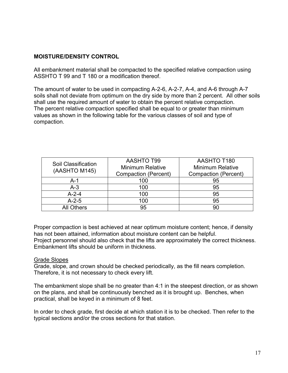# **MOISTURE/DENSITY CONTROL**

All embankment material shall be compacted to the specified relative compaction using ASSHTO T 99 and T 180 or a modification thereof.

The amount of water to be used in compacting A-2-6, A-2-7, A-4, and A-6 through A-7 soils shall not deviate from optimum on the dry side by more than 2 percent. All other soils shall use the required amount of water to obtain the percent relative compaction. The percent relative compaction specified shall be equal to or greater than minimum values as shown in the following table for the various classes of soil and type of compaction.

| Soil Classification<br>(AASHTO M145) | <b>AASHTO T99</b><br><b>Minimum Relative</b><br><b>Compaction (Percent)</b> | AASHTO T180<br><b>Minimum Relative</b><br>Compaction (Percent) |
|--------------------------------------|-----------------------------------------------------------------------------|----------------------------------------------------------------|
| A-1                                  | 100                                                                         | 95                                                             |
| $A-3$                                | 100                                                                         | 95                                                             |
| $A - 2 - 4$                          | 100                                                                         | 95                                                             |
| $A-2-5$                              | 100                                                                         | 95                                                             |
| <b>All Others</b>                    | 95                                                                          | 90                                                             |

Proper compaction is best achieved at near optimum moisture content; hence, if density has not been attained, information about moisture content can be helpful.

Project personnel should also check that the lifts are approximately the correct thickness. Embankment lifts should be uniform in thickness.

### Grade Slopes

Grade, slope, and crown should be checked periodically, as the fill nears completion. Therefore, it is not necessary to check every lift.

The embankment slope shall be no greater than 4:1 in the steepest direction, or as shown on the plans, and shall be continuously benched as it is brought up. Benches, when practical, shall be keyed in a minimum of 8 feet.

In order to check grade, first decide at which station it is to be checked. Then refer to the typical sections and/or the cross sections for that station.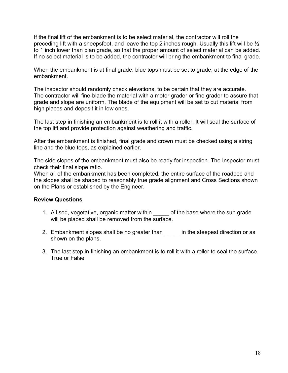If the final lift of the embankment is to be select material, the contractor will roll the preceding lift with a sheepsfoot, and leave the top 2 inches rough. Usually this lift will be ½ to 1 inch lower than plan grade, so that the proper amount of select material can be added. If no select material is to be added, the contractor will bring the embankment to final grade.

When the embankment is at final grade, blue tops must be set to grade, at the edge of the embankment.

The inspector should randomly check elevations, to be certain that they are accurate. The contractor will fine-blade the material with a motor grader or fine grader to assure that grade and slope are uniform. The blade of the equipment will be set to cut material from high places and deposit it in low ones.

The last step in finishing an embankment is to roll it with a roller. It will seal the surface of the top lift and provide protection against weathering and traffic.

After the embankment is finished, final grade and crown must be checked using a string line and the blue tops, as explained earlier.

The side slopes of the embankment must also be ready for inspection. The Inspector must check their final slope ratio.

When all of the embankment has been completed, the entire surface of the roadbed and the slopes shall be shaped to reasonably true grade alignment and Cross Sections shown on the Plans or established by the Engineer.

### **Review Questions**

- 1. All sod, vegetative, organic matter within \_\_\_\_\_ of the base where the sub grade will be placed shall be removed from the surface.
- 2. Embankment slopes shall be no greater than \_\_\_\_\_\_ in the steepest direction or as shown on the plans.
- 3. The last step in finishing an embankment is to roll it with a roller to seal the surface. True or False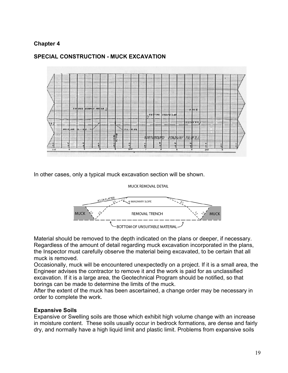# **Chapter 4**



# **SPECIAL CONSTRUCTION - MUCK EXCAVATION**

In other cases, only a typical muck excavation section will be shown.

### MUCK REMOVAL DETAIL



Material should be removed to the depth indicated on the plans or deeper, if necessary. Regardless of the amount of detail regarding muck excavation incorporated in the plans, the Inspector must carefully observe the material being excavated, to be certain that all muck is removed.

Occasionally, muck will be encountered unexpectedly on a project. If it is a small area, the Engineer advises the contractor to remove it and the work is paid for as unclassified excavation. If it is a large area, the Geotechnical Program should be notified, so that borings can be made to determine the limits of the muck.

After the extent of the muck has been ascertained, a change order may be necessary in order to complete the work.

# **Expansive Soils**

Expansive or Swelling soils are those which exhibit high volume change with an increase in moisture content. These soils usually occur in bedrock formations, are dense and fairly dry, and normally have a high liquid limit and plastic limit. Problems from expansive soils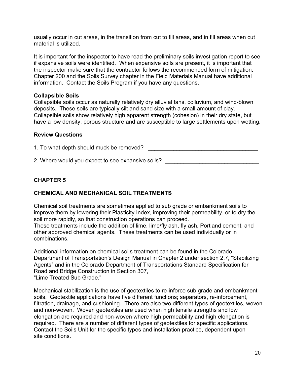usually occur in cut areas, in the transition from cut to fill areas, and in fill areas when cut material is utilized.

It is important for the inspector to have read the preliminary soils investigation report to see if expansive soils were identified. When expansive soils are present, it is important that the inspector make sure that the contractor follows the recommended form of mitigation. Chapter 200 and the Soils Survey chapter in the Field Materials Manual have additional information. Contact the Soils Program if you have any questions.

### **Collapsible Soils**

Collapsible soils occur as naturally relatively dry alluvial fans, colluvium, and wind-blown deposits. These soils are typically silt and sand size with a small amount of clay. Collapsible soils show relatively high apparent strength (cohesion) in their dry state, but have a low density, porous structure and are susceptible to large settlements upon wetting.

### **Review Questions**

1. To what depth should muck be removed? \_\_\_\_\_\_\_\_\_\_\_\_\_\_\_\_\_\_\_\_\_\_\_\_\_\_\_\_\_\_\_\_\_\_\_

2. Where would you expect to see expansive soils?

# **CHAPTER 5**

# **CHEMICAL AND MECHANICAL SOIL TREATMENTS**

Chemical soil treatments are sometimes applied to sub grade or embankment soils to improve them by lowering their Plasticity Index, improving their permeability, or to dry the soil more rapidly, so that construction operations can proceed. These treatments include the addition of lime, lime/fly ash, fly ash, Portland cement, and other approved chemical agents. These treatments can be used individually or in combinations.

Additional information on chemical soils treatment can be found in the Colorado Department of Transportation's Design Manual in Chapter 2 under section 2.7, "Stabilizing Agents" and in the Colorado Department of Transportations Standard Specification for Road and Bridge Construction in Section 307, "Lime Treated Sub Grade."

Mechanical stabilization is the use of geotextiles to re-inforce sub grade and embankment soils. Geotextile applications have five different functions; separators, re-inforcement, filtration, drainage, and cushioning. There are also two different types of geotextiles, woven and non-woven. Woven geotextiles are used when high tensile strengths and low elongation are required and non-woven where high permeability and high elongation is required. There are a number of different types of geotextiles for specific applications. Contact the Soils Unit for the specific types and installation practice, dependent upon site conditions.